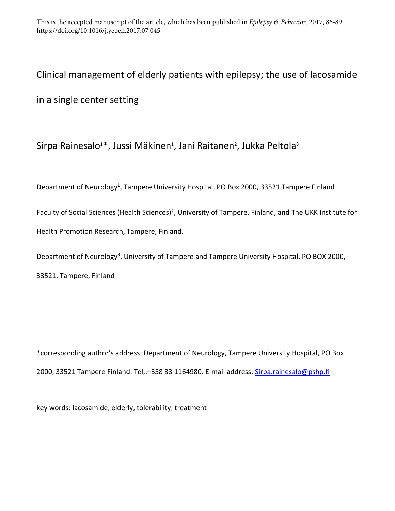Clinical management of elderly patients with epilepsy; the use of lacosamide in a single center setting

Sirpa Rainesalo<sup>1\*</sup>, Jussi Mäkinen<sup>1</sup>, Jani Raitanen<sup>2</sup>, Jukka Peltola<sup>3</sup>

Department of Neurology<sup>1</sup>, Tampere University Hospital, PO Box 2000, 33521 Tampere Finland

Faculty of Social Sciences (Health Sciences)<sup>2</sup>, University of Tampere, Finland, and The UKK Institute for Health Promotion Research, Tampere, Finland.

Department of Neurology<sup>3</sup>, University of Tampere and Tampere University Hospital, PO BOX 2000, 33521, Tampere, Finland

\*corresponding author's address: Department of Neurology, Tampere University Hospital, PO Box 2000, 33521 Tampere Finland. Tel,:+358 33 1164980. E-mail address: [Sirpa.rainesalo@pshp.fi](mailto:Sirpa.rainesalo@pshp.fi)

key words: lacosamide, elderly, tolerability, treatment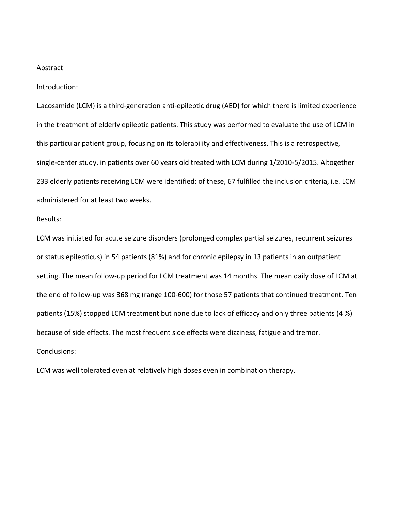### Abstract

#### Introduction:

Lacosamide (LCM) is a third-generation anti-epileptic drug (AED) for which there is limited experience in the treatment of elderly epileptic patients. This study was performed to evaluate the use of LCM in this particular patient group, focusing on its tolerability and effectiveness. This is a retrospective, single-center study, in patients over 60 years old treated with LCM during 1/2010-5/2015. Altogether 233 elderly patients receiving LCM were identified; of these, 67 fulfilled the inclusion criteria, i.e. LCM administered for at least two weeks.

# Results:

LCM was initiated for acute seizure disorders (prolonged complex partial seizures, recurrent seizures or status epilepticus) in 54 patients (81%) and for chronic epilepsy in 13 patients in an outpatient setting. The mean follow-up period for LCM treatment was 14 months. The mean daily dose of LCM at the end of follow-up was 368 mg (range 100-600) for those 57 patients that continued treatment. Ten patients (15%) stopped LCM treatment but none due to lack of efficacy and only three patients (4 %) because of side effects. The most frequent side effects were dizziness, fatigue and tremor. Conclusions:

LCM was well tolerated even at relatively high doses even in combination therapy.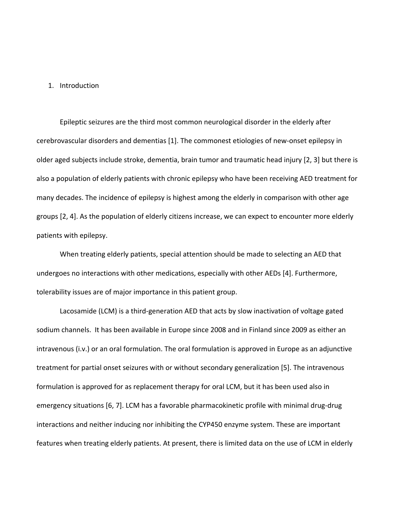### 1. Introduction

Epileptic seizures are the third most common neurological disorder in the elderly after cerebrovascular disorders and dementias [1]. The commonest etiologies of new-onset epilepsy in older aged subjects include stroke, dementia, brain tumor and traumatic head injury [2, 3] but there is also a population of elderly patients with chronic epilepsy who have been receiving AED treatment for many decades. The incidence of epilepsy is highest among the elderly in comparison with other age groups [2, 4]. As the population of elderly citizens increase, we can expect to encounter more elderly patients with epilepsy.

When treating elderly patients, special attention should be made to selecting an AED that undergoes no interactions with other medications, especially with other AEDs [4]. Furthermore, tolerability issues are of major importance in this patient group.

Lacosamide (LCM) is a third-generation AED that acts by slow inactivation of voltage gated sodium channels. It has been available in Europe since 2008 and in Finland since 2009 as either an intravenous (i.v.) or an oral formulation. The oral formulation is approved in Europe as an adjunctive treatment for partial onset seizures with or without secondary generalization [5]. The intravenous formulation is approved for as replacement therapy for oral LCM, but it has been used also in emergency situations [6, 7]. LCM has a favorable pharmacokinetic profile with minimal drug-drug interactions and neither inducing nor inhibiting the CYP450 enzyme system. These are important features when treating elderly patients. At present, there is limited data on the use of LCM in elderly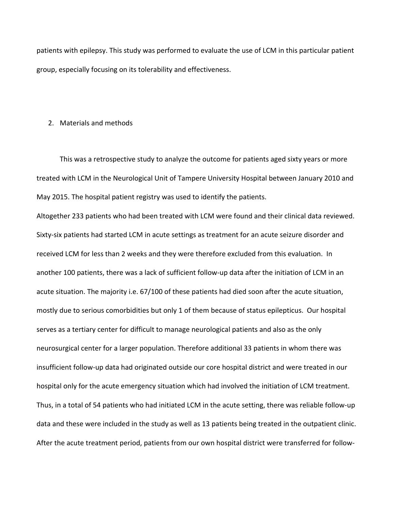patients with epilepsy. This study was performed to evaluate the use of LCM in this particular patient group, especially focusing on its tolerability and effectiveness.

#### 2. Materials and methods

This was a retrospective study to analyze the outcome for patients aged sixty years or more treated with LCM in the Neurological Unit of Tampere University Hospital between January 2010 and May 2015. The hospital patient registry was used to identify the patients.

Altogether 233 patients who had been treated with LCM were found and their clinical data reviewed. Sixty-six patients had started LCM in acute settings as treatment for an acute seizure disorder and received LCM for less than 2 weeks and they were therefore excluded from this evaluation. In another 100 patients, there was a lack of sufficient follow-up data after the initiation of LCM in an acute situation. The majority i.e. 67/100 of these patients had died soon after the acute situation, mostly due to serious comorbidities but only 1 of them because of status epilepticus. Our hospital serves as a tertiary center for difficult to manage neurological patients and also as the only neurosurgical center for a larger population. Therefore additional 33 patients in whom there was insufficient follow-up data had originated outside our core hospital district and were treated in our hospital only for the acute emergency situation which had involved the initiation of LCM treatment. Thus, in a total of 54 patients who had initiated LCM in the acute setting, there was reliable follow-up data and these were included in the study as well as 13 patients being treated in the outpatient clinic. After the acute treatment period, patients from our own hospital district were transferred for follow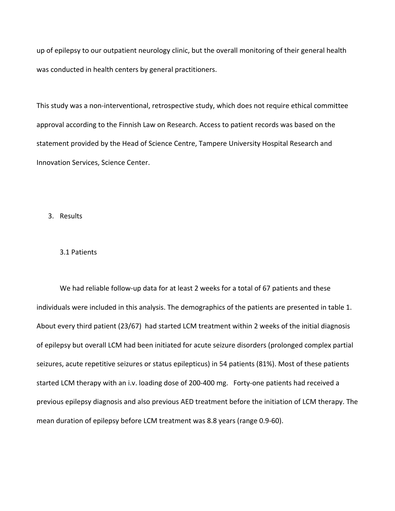up of epilepsy to our outpatient neurology clinic, but the overall monitoring of their general health was conducted in health centers by general practitioners.

This study was a non-interventional, retrospective study, which does not require ethical committee approval according to the Finnish Law on Research. Access to patient records was based on the statement provided by the Head of Science Centre, Tampere University Hospital Research and Innovation Services, Science Center.

3. Results

# 3.1 Patients

We had reliable follow-up data for at least 2 weeks for a total of 67 patients and these individuals were included in this analysis. The demographics of the patients are presented in table 1. About every third patient (23/67) had started LCM treatment within 2 weeks of the initial diagnosis of epilepsy but overall LCM had been initiated for acute seizure disorders (prolonged complex partial seizures, acute repetitive seizures or status epilepticus) in 54 patients (81%). Most of these patients started LCM therapy with an i.v. loading dose of 200-400 mg. Forty-one patients had received a previous epilepsy diagnosis and also previous AED treatment before the initiation of LCM therapy. The mean duration of epilepsy before LCM treatment was 8.8 years (range 0.9-60).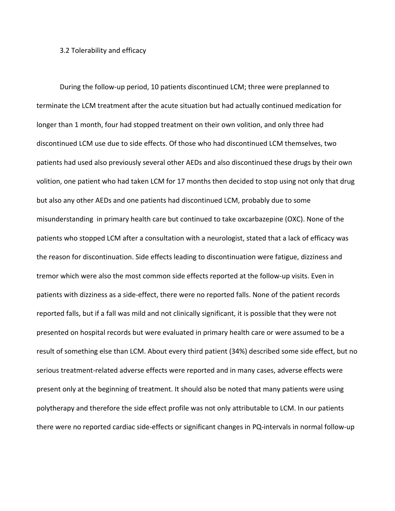#### 3.2 Tolerability and efficacy

During the follow-up period, 10 patients discontinued LCM; three were preplanned to terminate the LCM treatment after the acute situation but had actually continued medication for longer than 1 month, four had stopped treatment on their own volition, and only three had discontinued LCM use due to side effects. Of those who had discontinued LCM themselves, two patients had used also previously several other AEDs and also discontinued these drugs by their own volition, one patient who had taken LCM for 17 months then decided to stop using not only that drug but also any other AEDs and one patients had discontinued LCM, probably due to some misunderstanding in primary health care but continued to take oxcarbazepine (OXC). None of the patients who stopped LCM after a consultation with a neurologist, stated that a lack of efficacy was the reason for discontinuation. Side effects leading to discontinuation were fatigue, dizziness and tremor which were also the most common side effects reported at the follow-up visits. Even in patients with dizziness as a side-effect, there were no reported falls. None of the patient records reported falls, but if a fall was mild and not clinically significant, it is possible that they were not presented on hospital records but were evaluated in primary health care or were assumed to be a result of something else than LCM. About every third patient (34%) described some side effect, but no serious treatment-related adverse effects were reported and in many cases, adverse effects were present only at the beginning of treatment. It should also be noted that many patients were using polytherapy and therefore the side effect profile was not only attributable to LCM. In our patients there were no reported cardiac side-effects or significant changes in PQ-intervals in normal follow-up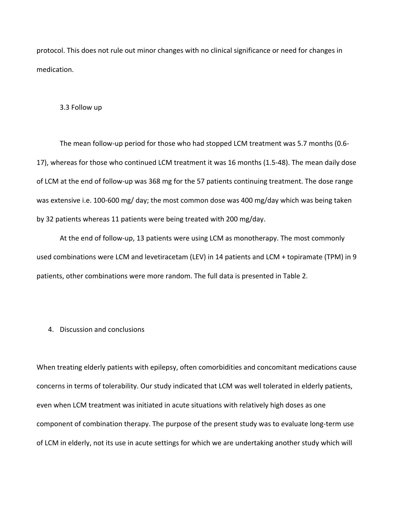protocol. This does not rule out minor changes with no clinical significance or need for changes in medication.

### 3.3 Follow up

The mean follow-up period for those who had stopped LCM treatment was 5.7 months (0.6- 17), whereas for those who continued LCM treatment it was 16 months (1.5-48). The mean daily dose of LCM at the end of follow-up was 368 mg for the 57 patients continuing treatment. The dose range was extensive i.e. 100-600 mg/ day; the most common dose was 400 mg/day which was being taken by 32 patients whereas 11 patients were being treated with 200 mg/day.

At the end of follow-up, 13 patients were using LCM as monotherapy. The most commonly used combinations were LCM and levetiracetam (LEV) in 14 patients and LCM + topiramate (TPM) in 9 patients, other combinations were more random. The full data is presented in Table 2.

# 4. Discussion and conclusions

When treating elderly patients with epilepsy, often comorbidities and concomitant medications cause concerns in terms of tolerability. Our study indicated that LCM was well tolerated in elderly patients, even when LCM treatment was initiated in acute situations with relatively high doses as one component of combination therapy. The purpose of the present study was to evaluate long-term use of LCM in elderly, not its use in acute settings for which we are undertaking another study which will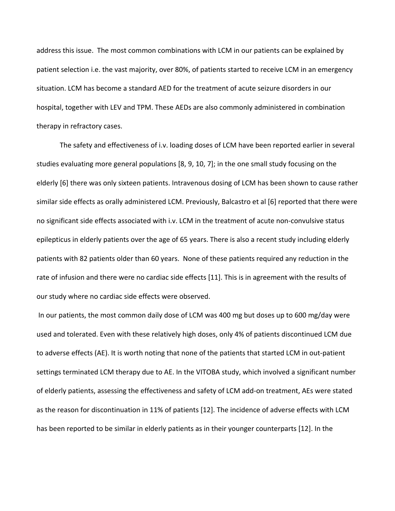address this issue. The most common combinations with LCM in our patients can be explained by patient selection i.e. the vast majority, over 80%, of patients started to receive LCM in an emergency situation. LCM has become a standard AED for the treatment of acute seizure disorders in our hospital, together with LEV and TPM. These AEDs are also commonly administered in combination therapy in refractory cases.

The safety and effectiveness of i.v. loading doses of LCM have been reported earlier in several studies evaluating more general populations [8, 9, 10, 7]; in the one small study focusing on the elderly [6] there was only sixteen patients. Intravenous dosing of LCM has been shown to cause rather similar side effects as orally administered LCM. Previously, Balcastro et al [6] reported that there were no significant side effects associated with i.v. LCM in the treatment of acute non-convulsive status epilepticus in elderly patients over the age of 65 years. There is also a recent study including elderly patients with 82 patients older than 60 years. None of these patients required any reduction in the rate of infusion and there were no cardiac side effects [11]. This is in agreement with the results of our study where no cardiac side effects were observed.

In our patients, the most common daily dose of LCM was 400 mg but doses up to 600 mg/day were used and tolerated. Even with these relatively high doses, only 4% of patients discontinued LCM due to adverse effects (AE). It is worth noting that none of the patients that started LCM in out-patient settings terminated LCM therapy due to AE. In the VITOBA study, which involved a significant number of elderly patients, assessing the effectiveness and safety of LCM add-on treatment, AEs were stated as the reason for discontinuation in 11% of patients [12]. The incidence of adverse effects with LCM has been reported to be similar in elderly patients as in their younger counterparts [12]. In the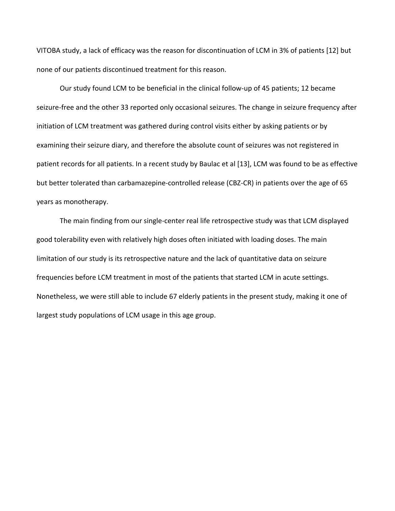VITOBA study, a lack of efficacy was the reason for discontinuation of LCM in 3% of patients [12] but none of our patients discontinued treatment for this reason.

Our study found LCM to be beneficial in the clinical follow-up of 45 patients; 12 became seizure-free and the other 33 reported only occasional seizures. The change in seizure frequency after initiation of LCM treatment was gathered during control visits either by asking patients or by examining their seizure diary, and therefore the absolute count of seizures was not registered in patient records for all patients. In a recent study by Baulac et al [13], LCM was found to be as effective but better tolerated than carbamazepine-controlled release (CBZ-CR) in patients over the age of 65 years as monotherapy.

The main finding from our single-center real life retrospective study was that LCM displayed good tolerability even with relatively high doses often initiated with loading doses. The main limitation of our study is its retrospective nature and the lack of quantitative data on seizure frequencies before LCM treatment in most of the patients that started LCM in acute settings. Nonetheless, we were still able to include 67 elderly patients in the present study, making it one of largest study populations of LCM usage in this age group.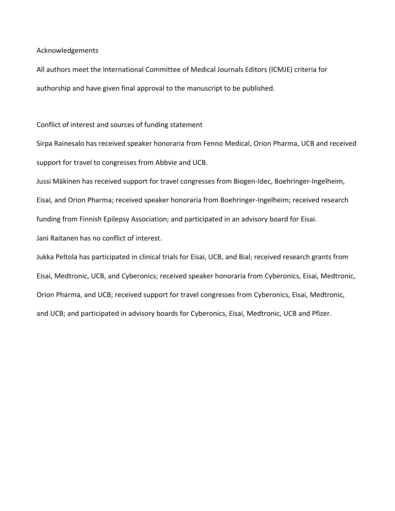Acknowledgements

All authors meet the International Committee of Medical Journals Editors (ICMJE) criteria for authorship and have given final approval to the manuscript to be published.

Conflict of interest and sources of funding statement

Sirpa Rainesalo has received speaker honoraria from Fenno Medical, Orion Pharma, UCB and received support for travel to congresses from Abbvie and UCB.

Jussi Mäkinen has received support for travel congresses from Biogen-Idec, Boehringer-Ingelheim, Eisai, and Orion Pharma; received speaker honoraria from Boehringer-Ingelheim; received research funding from Finnish Epilepsy Association; and participated in an advisory board for Eisai. Jani Raitanen has no conflict of interest.

Jukka Peltola has participated in clinical trials for Eisai, UCB, and Bial; received research grants from Eisai, Medtronic, UCB, and Cyberonics; received speaker honoraria from Cyberonics, Eisai, Medtronic, Orion Pharma, and UCB; received support for travel congresses from Cyberonics, Eisai, Medtronic, and UCB; and participated in advisory boards for Cyberonics, Eisai, Medtronic, UCB and Pfizer.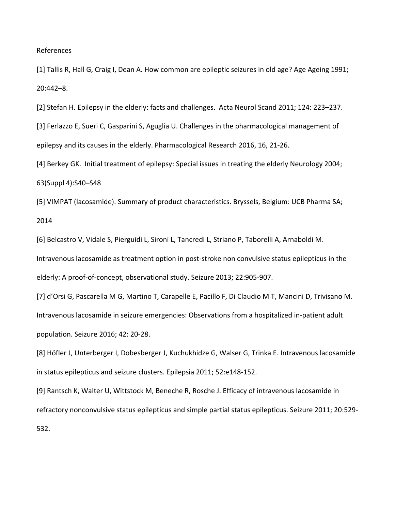References

[1] Tallis R, Hall G, Craig I, Dean A. How common are epileptic seizures in old age? Age Ageing 1991; 20:442–8.

[2] Stefan H. Epilepsy in the elderly: facts and challenges. Acta Neurol Scand 2011; 124: 223–237.

[3] Ferlazzo E, Sueri C, Gasparini S, Aguglia U. Challenges in the pharmacological management of epilepsy and its causes in the elderly. Pharmacological Research 2016, 16, 21-26.

[4] Berkey GK. Initial treatment of epilepsy: Special issues in treating the elderly Neurology 2004; 63(Suppl 4):S40–S48

[5] VIMPAT (lacosamide). Summary of product characteristics. Bryssels, Belgium: UCB Pharma SA; 2014

[6] Belcastro V, Vidale S, Pierguidi L, Sironi L, Tancredi L, Striano P, Taborelli A, Arnaboldi M. Intravenous lacosamide as treatment option in post-stroke non convulsive status epilepticus in the elderly: A proof-of-concept, observational study. Seizure 2013; 22:905-907.

[7] d'Orsi G, Pascarella M G, Martino T, Carapelle E, Pacillo F, Di Claudio M T, Mancini D, Trivisano M. Intravenous lacosamide in seizure emergencies: Observations from a hospitalized in-patient adult population. Seizure 2016; 42: 20-28.

[8] Höfler J, Unterberger I, Dobesberger J, Kuchukhidze G, Walser G, Trinka E. Intravenous lacosamide in status epilepticus and seizure clusters. Epilepsia 2011; 52:e148-152.

[9] Rantsch K, Walter U, Wittstock M, Beneche R, Rosche J. Efficacy of intravenous lacosamide in refractory nonconvulsive status epilepticus and simple partial status epilepticus. Seizure 2011; 20:529- 532.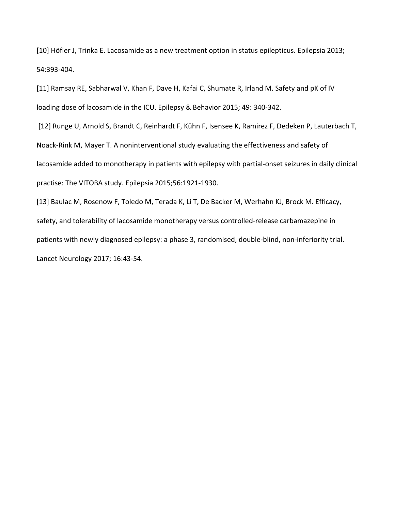[10] Höfler J, Trinka E. Lacosamide as a new treatment option in status epilepticus. Epilepsia 2013; 54:393-404.

[11] Ramsay RE, Sabharwal V, Khan F, Dave H, Kafai C, Shumate R, Irland M. Safety and pK of IV loading dose of lacosamide in the ICU. Epilepsy & Behavior 2015; 49: 340-342.

[12] Runge U, Arnold S, Brandt C, Reinhardt F, Kühn F, Isensee K, Ramirez F, Dedeken P, Lauterbach T, Noack-Rink M, Mayer T. A noninterventional study evaluating the effectiveness and safety of lacosamide added to monotherapy in patients with epilepsy with partial-onset seizures in daily clinical practise: The VITOBA study. Epilepsia 2015;56:1921-1930.

[13] Baulac M, Rosenow F, Toledo M, Terada K, Li T, De Backer M, Werhahn KJ, Brock M. Efficacy, safety, and tolerability of lacosamide monotherapy versus controlled-release carbamazepine in patients with newly diagnosed epilepsy: a phase 3, randomised, double-blind, non-inferiority trial. Lancet Neurology 2017; 16:43-54.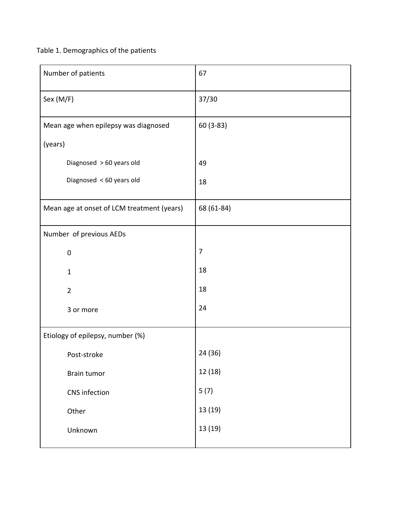Table 1. Demographics of the patients

| Number of patients                         | 67         |
|--------------------------------------------|------------|
| Sex (M/F)                                  | 37/30      |
| Mean age when epilepsy was diagnosed       | $60(3-83)$ |
| (years)                                    |            |
| Diagnosed > 60 years old                   | 49         |
| Diagnosed < 60 years old                   | 18         |
| Mean age at onset of LCM treatment (years) | 68 (61-84) |
| Number of previous AEDs                    |            |
| $\pmb{0}$                                  | 7          |
| $\mathbf{1}$                               | 18         |
| $\overline{2}$                             | 18         |
| 3 or more                                  | 24         |
| Etiology of epilepsy, number (%)           |            |
| Post-stroke                                | 24 (36)    |
| <b>Brain tumor</b>                         | 12 (18)    |
| CNS infection                              | 5(7)       |
| Other                                      | 13 (19)    |
| Unknown                                    | 13 (19)    |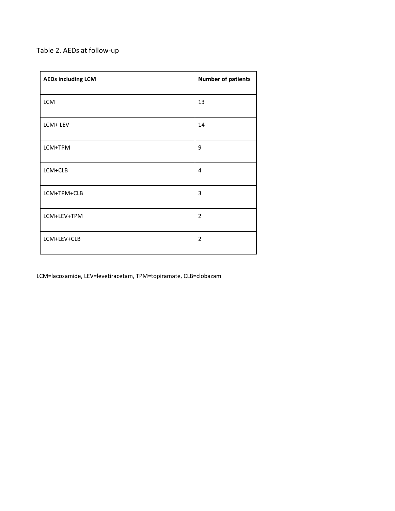# Table 2. AEDs at follow-up

| <b>AEDs including LCM</b> | <b>Number of patients</b> |
|---------------------------|---------------------------|
| LCM                       | 13                        |
| LCM+ LEV                  | 14                        |
| LCM+TPM                   | 9                         |
| LCM+CLB                   | $\overline{4}$            |
| LCM+TPM+CLB               | $\overline{3}$            |
| LCM+LEV+TPM               | $\overline{2}$            |
| LCM+LEV+CLB               | $\overline{2}$            |

LCM=lacosamide, LEV=levetiracetam, TPM=topiramate, CLB=clobazam